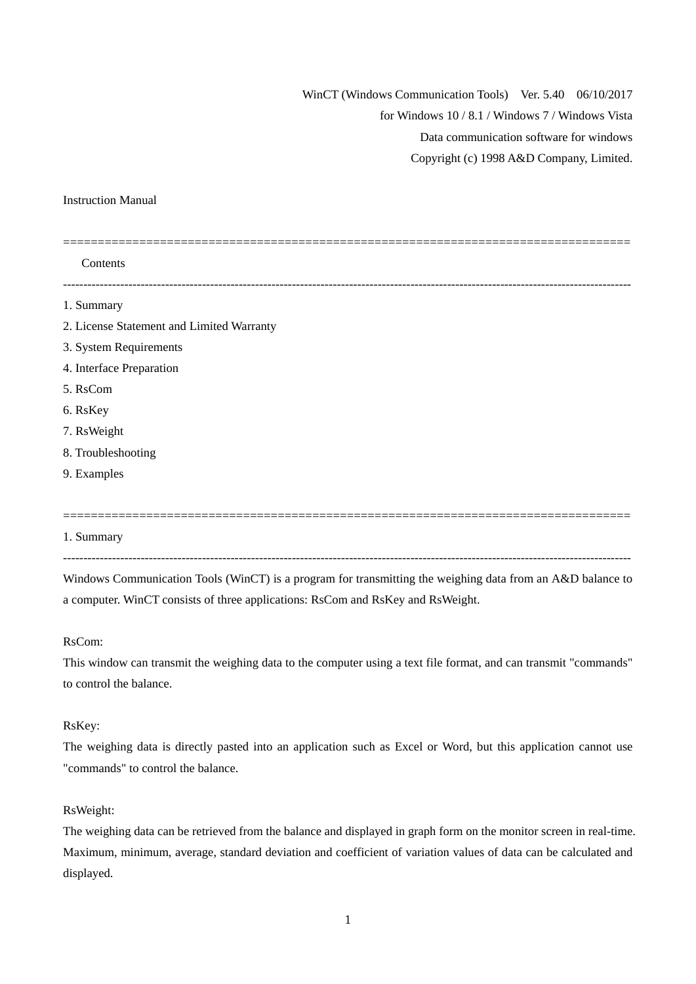WinCT (Windows Communication Tools) Ver. 5.40 06/10/2017

for Windows 10 / 8.1 / Windows 7 / Windows Vista

Data communication software for windows

Copyright (c) 1998 A&D Company, Limited.

### Instruction Manual

| Contents                                  |
|-------------------------------------------|
| 1. Summary                                |
| 2. License Statement and Limited Warranty |
| 3. System Requirements                    |
| 4. Interface Preparation                  |
| 5. RsCom                                  |
| 6. RsKey                                  |
| 7. RsWeight                               |
| 8. Troubleshooting                        |
| 9. Examples                               |
|                                           |

#### 1. Summary

-------------------------------------------------------------------------------------------------------------------------------------------

==================================================================================

Windows Communication Tools (WinCT) is a program for transmitting the weighing data from an A&D balance to a computer. WinCT consists of three applications: RsCom and RsKey and RsWeight.

### RsCom:

This window can transmit the weighing data to the computer using a text file format, and can transmit "commands" to control the balance.

### RsKey:

The weighing data is directly pasted into an application such as Excel or Word, but this application cannot use "commands" to control the balance.

### RsWeight:

The weighing data can be retrieved from the balance and displayed in graph form on the monitor screen in real-time. Maximum, minimum, average, standard deviation and coefficient of variation values of data can be calculated and displayed.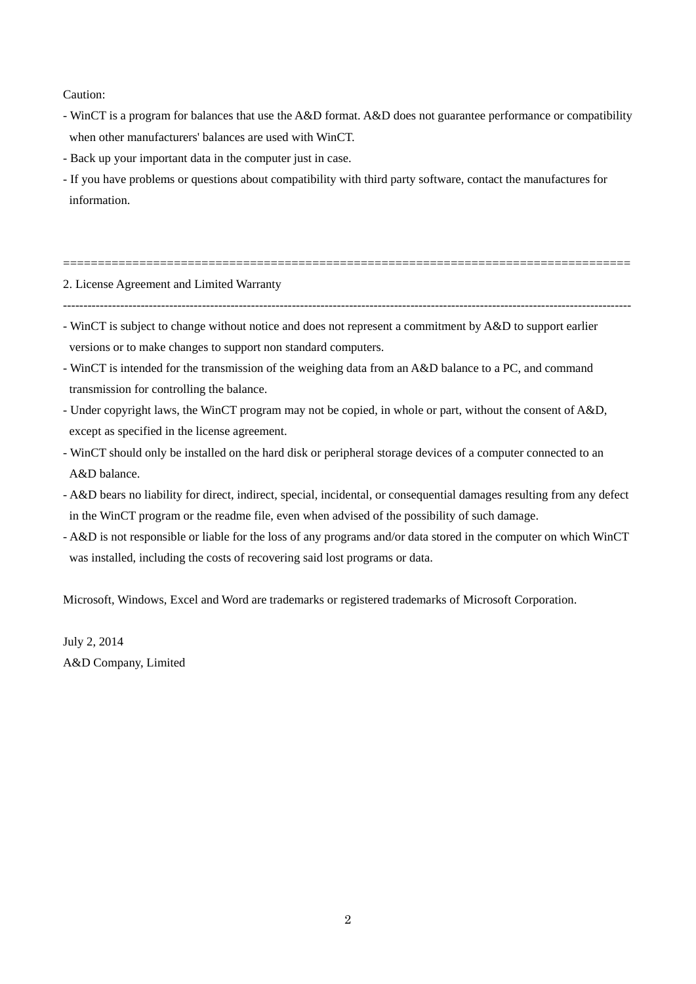Caution:

- WinCT is a program for balances that use the A&D format. A&D does not guarantee performance or compatibility when other manufacturers' balances are used with WinCT.
- Back up your important data in the computer just in case.
- If you have problems or questions about compatibility with third party software, contact the manufactures for information.

### 2. License Agreement and Limited Warranty

------------------------------------------------------------------------------------------------------------------------------------------- - WinCT is subject to change without notice and does not represent a commitment by A&D to support earlier

==================================================================================

versions or to make changes to support non standard computers.

- WinCT is intended for the transmission of the weighing data from an A&D balance to a PC, and command transmission for controlling the balance.
- Under copyright laws, the WinCT program may not be copied, in whole or part, without the consent of A&D, except as specified in the license agreement.
- WinCT should only be installed on the hard disk or peripheral storage devices of a computer connected to an A&D balance.
- A&D bears no liability for direct, indirect, special, incidental, or consequential damages resulting from any defect in the WinCT program or the readme file, even when advised of the possibility of such damage.
- A&D is not responsible or liable for the loss of any programs and/or data stored in the computer on which WinCT was installed, including the costs of recovering said lost programs or data.

Microsoft, Windows, Excel and Word are trademarks or registered trademarks of Microsoft Corporation.

July 2, 2014 A&D Company, Limited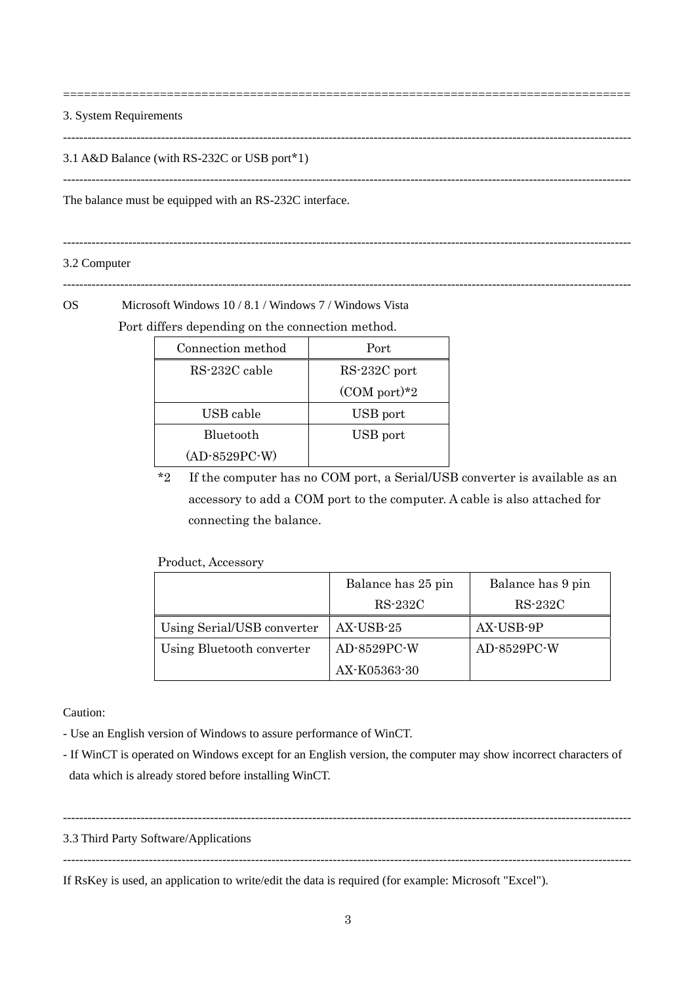3. System Requirements

==================================================================================

3.1 A&D Balance (with RS-232C or USB port\*1)

-------------------------------------------------------------------------------------------------------------------------------------------

-------------------------------------------------------------------------------------------------------------------------------------------

The balance must be equipped with an RS-232C interface.

### 3.2 Computer

-------------------------------------------------------------------------------------------------------------------------------------------

OS Microsoft Windows 10 / 8.1 / Windows 7 / Windows Vista

Port differs depending on the connection method.

| Connection method | Port           |
|-------------------|----------------|
| RS-232C cable     | RS-232C port   |
|                   | $(COM$ port)*2 |
| USB cable         | USB port       |
| <b>Bluetooth</b>  | USB port       |
| $(AD-8529PC-W)$   |                |

\*2 If the computer has no COM port, a Serial/USB converter is available as an accessory to add a COM port to the computer. A cable is also attached for connecting the balance.

Product, Accessory

|                            | Balance has 25 pin | Balance has 9 pin |
|----------------------------|--------------------|-------------------|
|                            | $RS-232C$          | $RS-232C$         |
| Using Serial/USB converter | AX-USB-25          | AX-USB-9P         |
| Using Bluetooth converter  | $AD-8529PC-W$      | AD-8529PC-W       |
|                            | AX-K05363-30       |                   |

Caution:

- Use an English version of Windows to assure performance of WinCT.

- If WinCT is operated on Windows except for an English version, the computer may show incorrect characters of data which is already stored before installing WinCT.

3.3 Third Party Software/Applications

-------------------------------------------------------------------------------------------------------------------------------------------

-------------------------------------------------------------------------------------------------------------------------------------------

If RsKey is used, an application to write/edit the data is required (for example: Microsoft "Excel").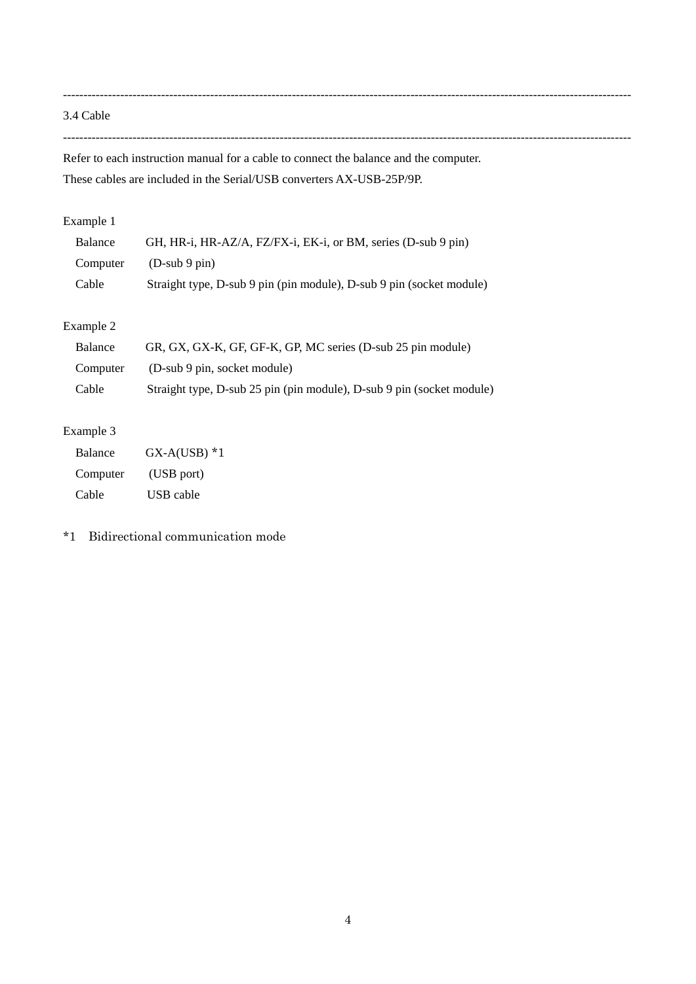3.4 Cable

-------------------------------------------------------------------------------------------------------------------------------------------

-------------------------------------------------------------------------------------------------------------------------------------------

Refer to each instruction manual for a cable to connect the balance and the computer. These cables are included in the Serial/USB converters AX-USB-25P/9P.

## Example 1

| <b>Balance</b> | GH, HR-i, HR-AZ/A, FZ/FX-i, EK-i, or BM, series (D-sub 9 pin)        |
|----------------|----------------------------------------------------------------------|
| Computer       | $(D\text{-sub }9 \text{ pin})$                                       |
| Cable          | Straight type, D-sub 9 pin (pin module), D-sub 9 pin (socket module) |

## Example 2

| <b>Balance</b> | GR, GX, GX-K, GF, GF-K, GP, MC series (D-sub 25 pin module)           |
|----------------|-----------------------------------------------------------------------|
| Computer       | (D-sub 9 pin, socket module)                                          |
| Cable          | Straight type, D-sub 25 pin (pin module), D-sub 9 pin (socket module) |

## Example 3

| <b>Balance</b> | $GX-A(USB) *1$ |
|----------------|----------------|
| Computer       | (USB port)     |
| Cable          | USB cable      |

\*1 Bidirectional communication mode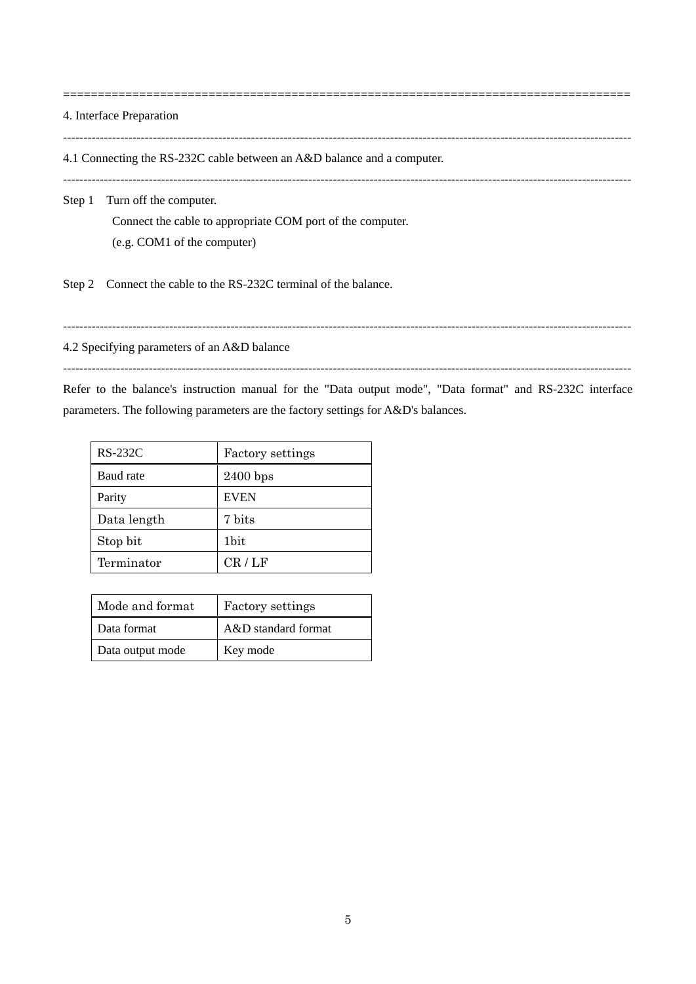================================================================================== 4. Interface Preparation -------------------------------------------------------------------------------------------------------------------------------------------

4.1 Connecting the RS-232C cable between an A&D balance and a computer.

-------------------------------------------------------------------------------------------------------------------------------------------

Step 1 Turn off the computer. Connect the cable to appropriate COM port of the computer. (e.g. COM1 of the computer)

Step 2 Connect the cable to the RS-232C terminal of the balance.

-------------------------------------------------------------------------------------------------------------------------------------------

4.2 Specifying parameters of an A&D balance

-------------------------------------------------------------------------------------------------------------------------------------------

Refer to the balance's instruction manual for the "Data output mode", "Data format" and RS-232C interface parameters. The following parameters are the factory settings for A&D's balances.

| <b>RS-232C</b> | Factory settings |  |
|----------------|------------------|--|
| Baud rate      | 2400 bps         |  |
| Parity         | <b>EVEN</b>      |  |
| Data length    | 7 bits           |  |
| Stop bit       | 1bit             |  |
| Terminator     | CR/LF            |  |

| Mode and format  | Factory settings    |
|------------------|---------------------|
| Data format      | A&D standard format |
| Data output mode | Key mode            |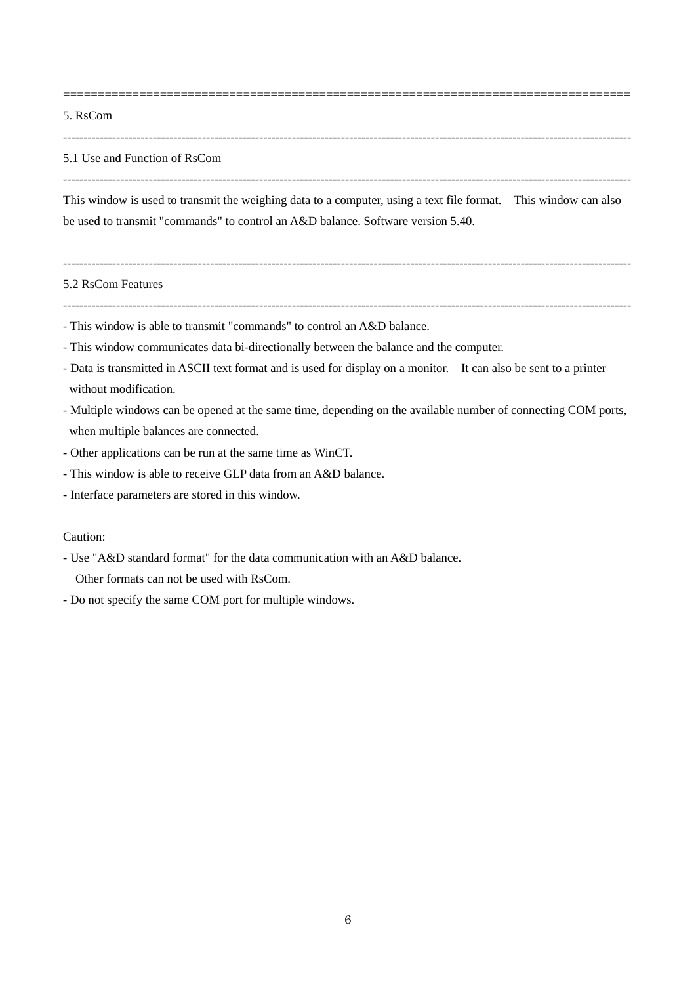5. RsCom

#### -------------------------------------------------------------------------------------------------------------------------------------------

==================================================================================

## 5.1 Use and Function of RsCom

This window is used to transmit the weighing data to a computer, using a text file format. This window can also be used to transmit "commands" to control an A&D balance. Software version 5.40.

-------------------------------------------------------------------------------------------------------------------------------------------

#### 5.2 RsCom Features

-------------------------------------------------------------------------------------------------------------------------------------------

-------------------------------------------------------------------------------------------------------------------------------------------

- This window is able to transmit "commands" to control an A&D balance.
- This window communicates data bi-directionally between the balance and the computer.
- Data is transmitted in ASCII text format and is used for display on a monitor. It can also be sent to a printer without modification.
- Multiple windows can be opened at the same time, depending on the available number of connecting COM ports, when multiple balances are connected.
- Other applications can be run at the same time as WinCT.
- This window is able to receive GLP data from an A&D balance.
- Interface parameters are stored in this window.

### Caution:

- Use "A&D standard format" for the data communication with an A&D balance.

Other formats can not be used with RsCom.

- Do not specify the same COM port for multiple windows.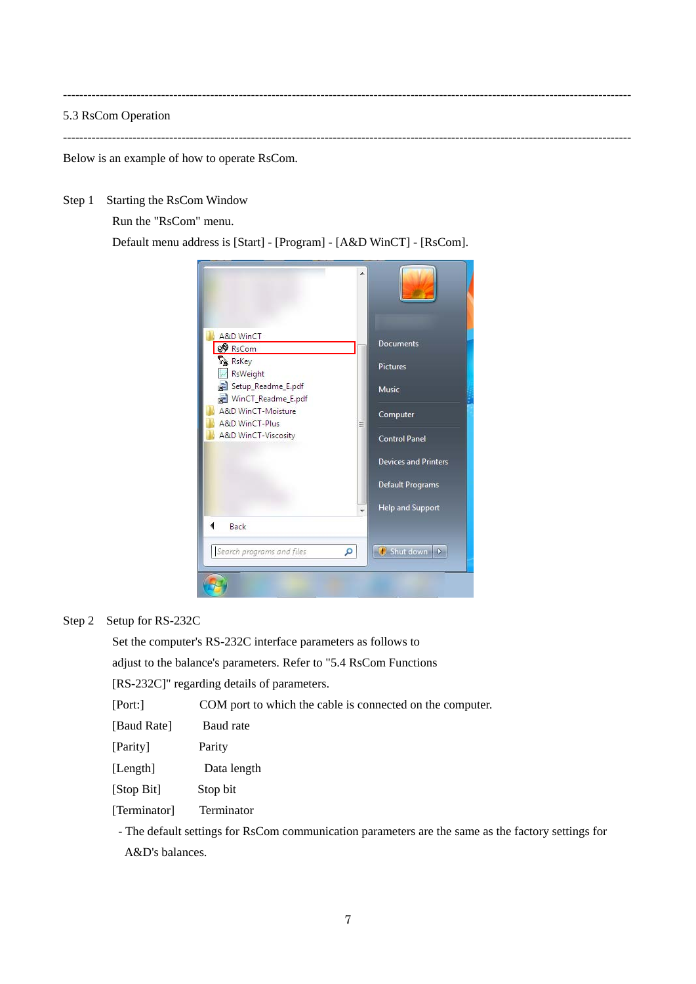------------------------------------------------------------------------------------------------------------------------------------------- 5.3 RsCom Operation -------------------------------------------------------------------------------------------------------------------------------------------

Below is an example of how to operate RsCom.

Step 1 Starting the RsCom Window

Run the "RsCom" menu.

Default menu address is [Start] - [Program] - [A&D WinCT] - [RsCom].



## Step 2 Setup for RS-232C

Set the computer's RS-232C interface parameters as follows to

adjust to the balance's parameters. Refer to "5.4 RsCom Functions

[RS-232C]" regarding details of parameters.

| COM port to which the cable is connected on the computer.<br>[Port:] |  |
|----------------------------------------------------------------------|--|
|----------------------------------------------------------------------|--|

| [Baud Rate] | Baud rate |
|-------------|-----------|
|-------------|-----------|

- [Parity] Parity
- [Length] Data length
- [Stop Bit] Stop bit
- [Terminator] Terminator

 - The default settings for RsCom communication parameters are the same as the factory settings for A&D's balances.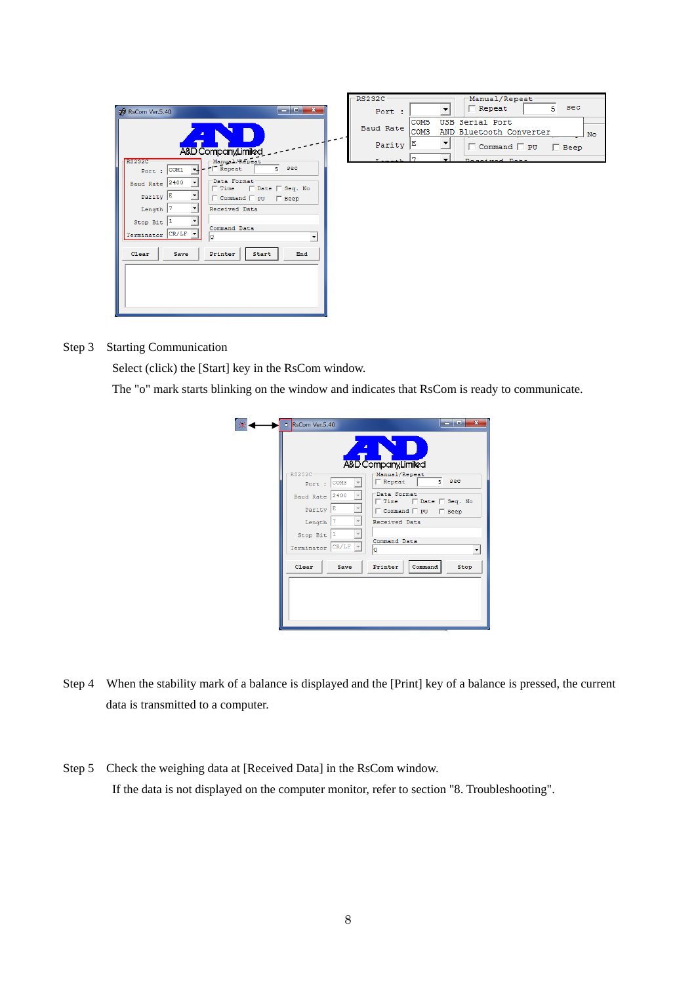|                                                                                                                                                                | <b>RS232C</b> | Manual/Repeat                                                                |
|----------------------------------------------------------------------------------------------------------------------------------------------------------------|---------------|------------------------------------------------------------------------------|
| $\begin{array}{c c c c c c} \hline \multicolumn{3}{c }{-} & \multicolumn{3}{c }{\mathbf{C}} & \multicolumn{3}{c }{\mathbf{X}} \end{array}$<br>& RsCom Ver.5.40 | Port :        | sec<br>$\Box$ Repeat<br>5.<br>▼                                              |
|                                                                                                                                                                | Baud Rate     | COM <sub>5</sub><br>USB Serial Port<br>COM3<br>AND Bluetooth Converter<br>No |
| A&D Company, Limited                                                                                                                                           | Parity $ E $  | □ Command □ PU □ Beep                                                        |
| Manual/Repeat<br><b>RS232C</b>                                                                                                                                 |               | $\mathbf{r}$<br>Bogained Bata                                                |
| sec<br>FT Repeat<br>$5^{\circ}$<br> COM1<br>≂l F<br>Port :                                                                                                     |               |                                                                              |
| Data Format<br>Baud Rate 2400<br>□ Time □ Date □ Seq. No                                                                                                       |               |                                                                              |
| Parity $ E $<br>□ Command □ PU □ Beep                                                                                                                          |               |                                                                              |
| $\mathbf{v}$<br>Received Data<br>Length  7                                                                                                                     |               |                                                                              |
| Stop Bit  1                                                                                                                                                    |               |                                                                              |
| Command Data<br>Terminator CR/LF<br>lo<br>$\overline{\phantom{a}}$                                                                                             |               |                                                                              |
| Printer<br>Clear<br>Start<br>End<br>Save                                                                                                                       |               |                                                                              |
|                                                                                                                                                                |               |                                                                              |
|                                                                                                                                                                |               |                                                                              |
|                                                                                                                                                                |               |                                                                              |
|                                                                                                                                                                |               |                                                                              |
|                                                                                                                                                                |               |                                                                              |

### Step 3 Starting Communication

Select (click) the [Start] key in the RsCom window.

The "o" mark starts blinking on the window and indicates that RsCom is ready to communicate.

| RsCom Ver.5.40<br>O.<br><b>RS232C</b><br>Port : COM3<br>Baud Rate 2400 |      | $\mathbf{x}$<br>o<br>A&D Company, Limited<br>Manual/Repeat<br>$5 - 3$ ec<br>$\Box$ Repeat<br>Data Format:<br>□ Time □ Date □ Seq. No |
|------------------------------------------------------------------------|------|--------------------------------------------------------------------------------------------------------------------------------------|
| Parity E<br>Length                                                     |      | $\Box$ Command $\Box$ PU<br>$\Box$ Beep<br>Received Data                                                                             |
| Stop Bit <sup>1</sup><br>Terminator CR/LF                              |      | Command Data<br>Q                                                                                                                    |
| Clear                                                                  | Save | Printer<br>Command<br>Stop                                                                                                           |
|                                                                        |      |                                                                                                                                      |

- Step 4 When the stability mark of a balance is displayed and the [Print] key of a balance is pressed, the current data is transmitted to a computer.
- Step 5 Check the weighing data at [Received Data] in the RsCom window. If the data is not displayed on the computer monitor, refer to section "8. Troubleshooting".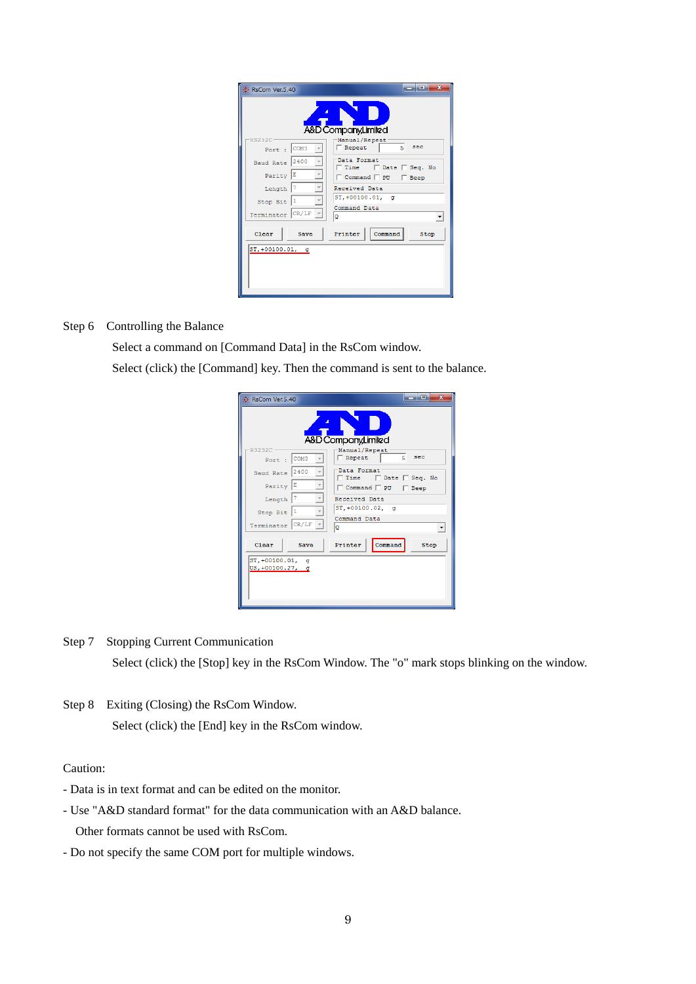| K RsCom Ver.5.40      |      | $\overline{\mathbf{x}}$<br>and C                         |
|-----------------------|------|----------------------------------------------------------|
|                       |      | A&D Company, Limited                                     |
| <b>RS232C</b>         |      | Manual/Repeat                                            |
| Port : COM3           |      | $\Box$ Repeat<br>s.<br>sec                               |
| Baud Rate             | 2400 | Data Format<br>$\Box$ Date $\Box$ Seq. No<br>$\Box$ Time |
| Parity E              |      | $\sqsubset$ Command $\sqsubset$ PU<br>$\Box$ Beep        |
| Length                | 7    | Received Data                                            |
| Stop Bit <sup>1</sup> |      | ST, +00100.01, g                                         |
| Terminator CR/LF      |      | Command Data<br>lo.                                      |
| Clear                 | Save | Printer<br>Command<br>Stop                               |
| ST, +00100.01, g      |      |                                                          |

## Step 6 Controlling the Balance

 Select a command on [Command Data] in the RsCom window. Select (click) the [Command] key. Then the command is sent to the balance.

| E: RsCom Ver.5.40                       | $\mathbf{x}$<br>- -                         |
|-----------------------------------------|---------------------------------------------|
|                                         | A&D Company, Limited                        |
| <b>RS232C</b><br>Port : COM3            | Manual/Repeat<br>sec<br>5.<br>$\Box$ Repeat |
| 2400<br><b>Baud Rate</b>                | Data Format<br>Time   Date   Seq. No        |
| Parity E                                | $\Box$ Command $\Box$ PU<br>$\Box$ Beep     |
| 7<br>Length                             | Received Data                               |
| Stop Bit                                | ST, +00100.02, q                            |
| CR/LF<br>Terminator                     | Command Data<br>lQ.<br>۰                    |
| Clear<br>Save                           | Command<br>Printer<br>Stop                  |
| ST, +00100.01,<br>σ<br>US, +00100.27, g |                                             |

### Step 7 Stopping Current Communication

Select (click) the [Stop] key in the RsCom Window. The "o" mark stops blinking on the window.

Step 8 Exiting (Closing) the RsCom Window. Select (click) the [End] key in the RsCom window.

## Caution:

- Data is in text format and can be edited on the monitor.
- Use "A&D standard format" for the data communication with an A&D balance.

Other formats cannot be used with RsCom.

- Do not specify the same COM port for multiple windows.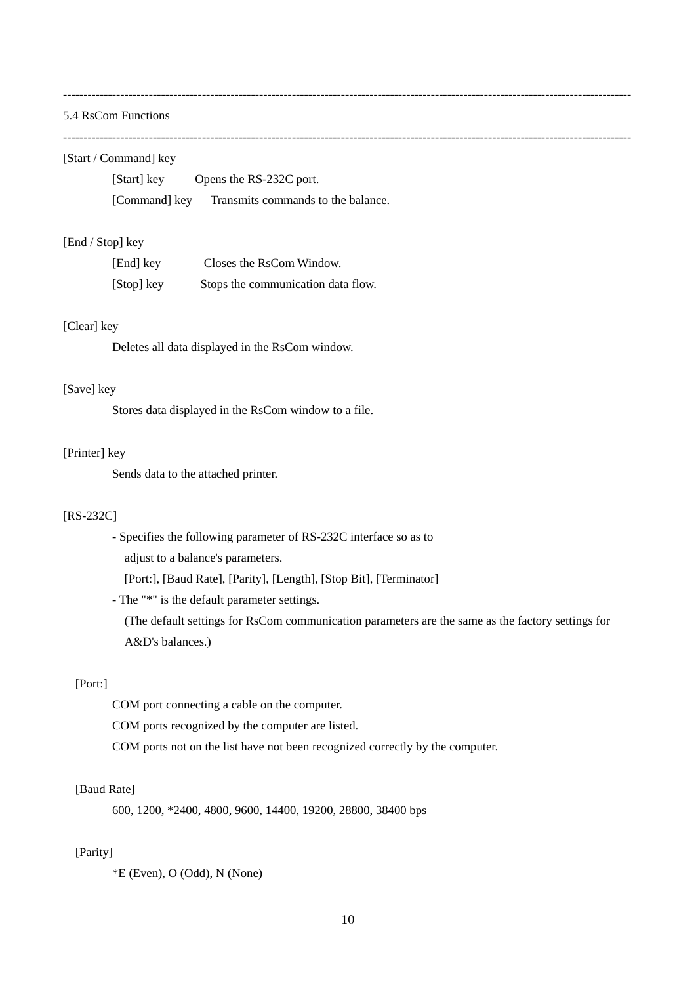### 5.4 RsCom Functions

-------------------------------------------------------------------------------------------------------------------------------------------

-------------------------------------------------------------------------------------------------------------------------------------------

### [Start / Command] key

 [Start] key Opens the RS-232C port. [Command] key Transmits commands to the balance.

### [End / Stop] key

| [End] key  | Closes the RsCom Window.           |
|------------|------------------------------------|
| [Stop] key | Stops the communication data flow. |

## [Clear] key

Deletes all data displayed in the RsCom window.

### [Save] key

Stores data displayed in the RsCom window to a file.

### [Printer] key

Sends data to the attached printer.

### [RS-232C]

 - Specifies the following parameter of RS-232C interface so as to adjust to a balance's parameters.

[Port:], [Baud Rate], [Parity], [Length], [Stop Bit], [Terminator]

- The "\*" is the default parameter settings.

 (The default settings for RsCom communication parameters are the same as the factory settings for A&D's balances.)

## [Port:]

 COM port connecting a cable on the computer. COM ports recognized by the computer are listed. COM ports not on the list have not been recognized correctly by the computer.

## [Baud Rate]

600, 1200, \*2400, 4800, 9600, 14400, 19200, 28800, 38400 bps

## [Parity]

\*E (Even), O (Odd), N (None)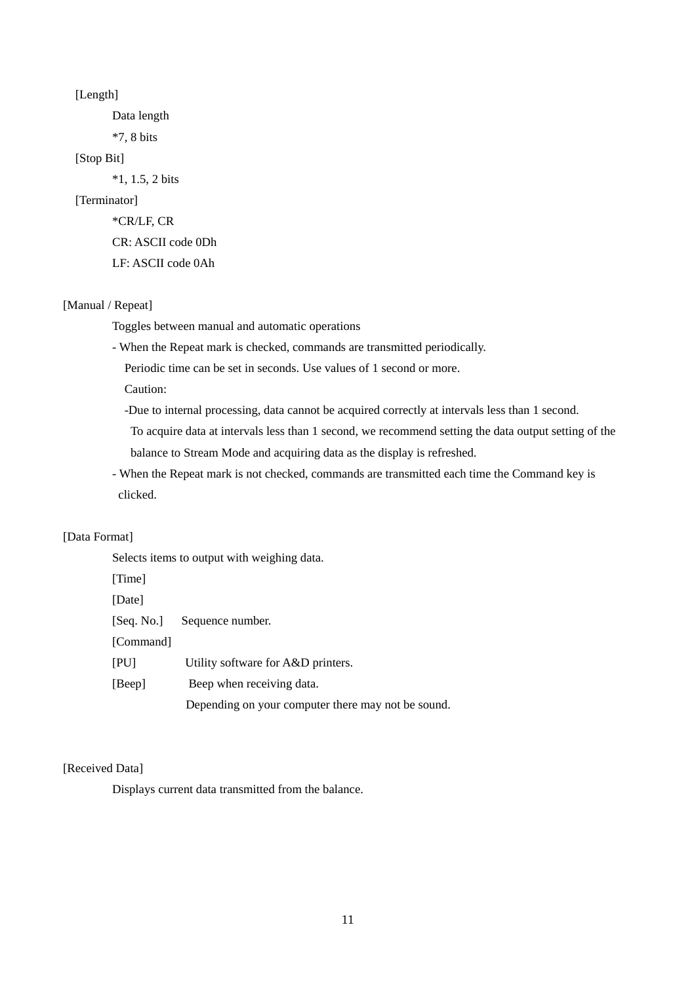### [Length]

Data length

\*7, 8 bits

## [Stop Bit]

\*1, 1.5, 2 bits

## [Terminator]

 \*CR/LF, CR CR: ASCII code 0Dh LF: ASCII code 0Ah

## [Manual / Repeat]

Toggles between manual and automatic operations

- When the Repeat mark is checked, commands are transmitted periodically.

Periodic time can be set in seconds. Use values of 1 second or more.

Caution:

-Due to internal processing, data cannot be acquired correctly at intervals less than 1 second.

 To acquire data at intervals less than 1 second, we recommend setting the data output setting of the balance to Stream Mode and acquiring data as the display is refreshed.

 - When the Repeat mark is not checked, commands are transmitted each time the Command key is clicked.

## [Data Format]

Selects items to output with weighing data.

| [Time]     |                                                    |
|------------|----------------------------------------------------|
| [Date]     |                                                    |
| [Seq. No.] | Sequence number.                                   |
| [Command]  |                                                    |
| [PU]       | Utility software for A&D printers.                 |
| [Beep]     | Beep when receiving data.                          |
|            | Depending on your computer there may not be sound. |

### [Received Data]

Displays current data transmitted from the balance.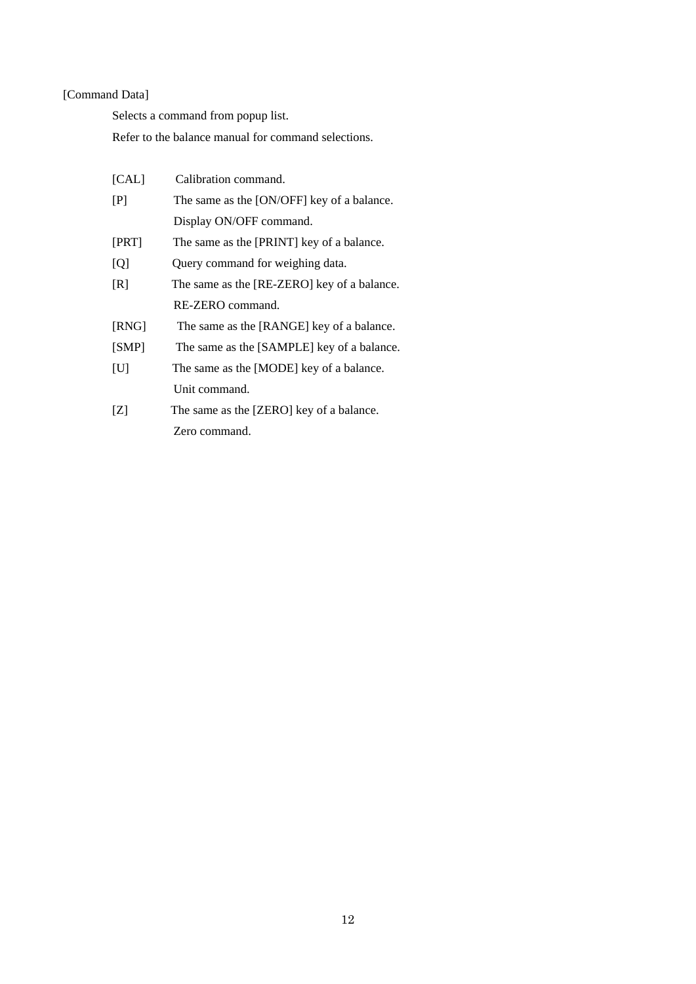## [Command Data]

Selects a command from popup list.

Refer to the balance manual for command selections.

| [CAL] | Calibration command.                        |
|-------|---------------------------------------------|
| [P]   | The same as the [ON/OFF] key of a balance.  |
|       | Display ON/OFF command.                     |
| [PRT] | The same as the [PRINT] key of a balance.   |
| [Q]   | Query command for weighing data.            |
| [R]   | The same as the [RE-ZERO] key of a balance. |
|       | RE-ZERO command.                            |
| [RNG] | The same as the [RANGE] key of a balance.   |
| [SMP] | The same as the [SAMPLE] key of a balance.  |
| [U]   | The same as the [MODE] key of a balance.    |
|       | Unit command.                               |
| [Z]   | The same as the [ZERO] key of a balance.    |
|       | Zero command.                               |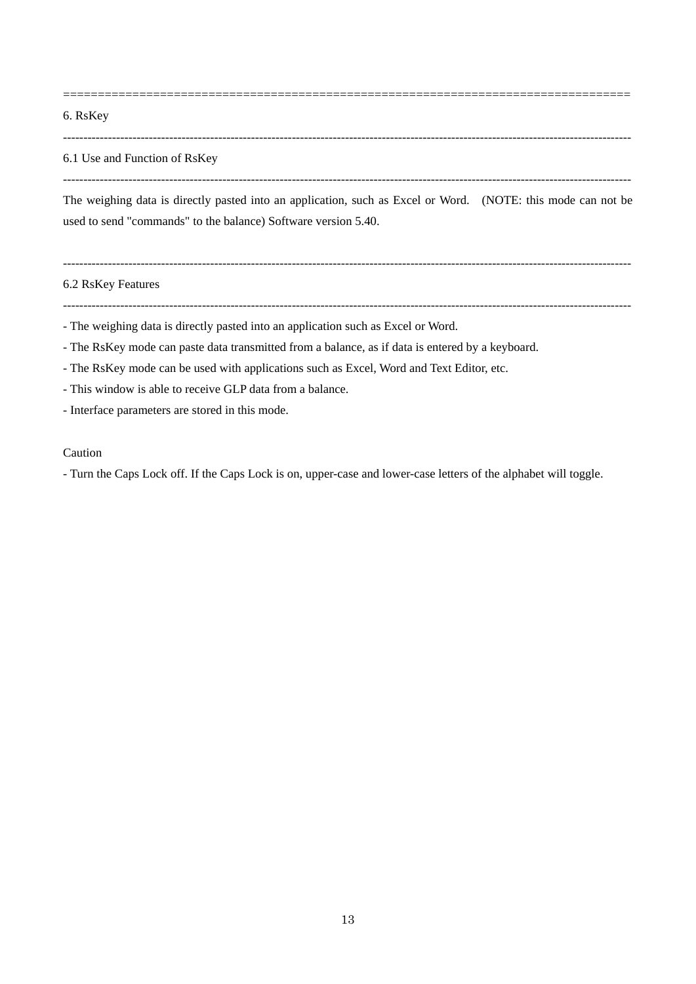6. RsKey

#### -------------------------------------------------------------------------------------------------------------------------------------------

==================================================================================

## 6.1 Use and Function of RsKey

The weighing data is directly pasted into an application, such as Excel or Word. (NOTE: this mode can not be used to send "commands" to the balance) Software version 5.40.

-------------------------------------------------------------------------------------------------------------------------------------------

#### 6.2 RsKey Features

-------------------------------------------------------------------------------------------------------------------------------------------

-------------------------------------------------------------------------------------------------------------------------------------------

- The weighing data is directly pasted into an application such as Excel or Word.

- The RsKey mode can paste data transmitted from a balance, as if data is entered by a keyboard.

- The RsKey mode can be used with applications such as Excel, Word and Text Editor, etc.

- This window is able to receive GLP data from a balance.

- Interface parameters are stored in this mode.

### Caution

- Turn the Caps Lock off. If the Caps Lock is on, upper-case and lower-case letters of the alphabet will toggle.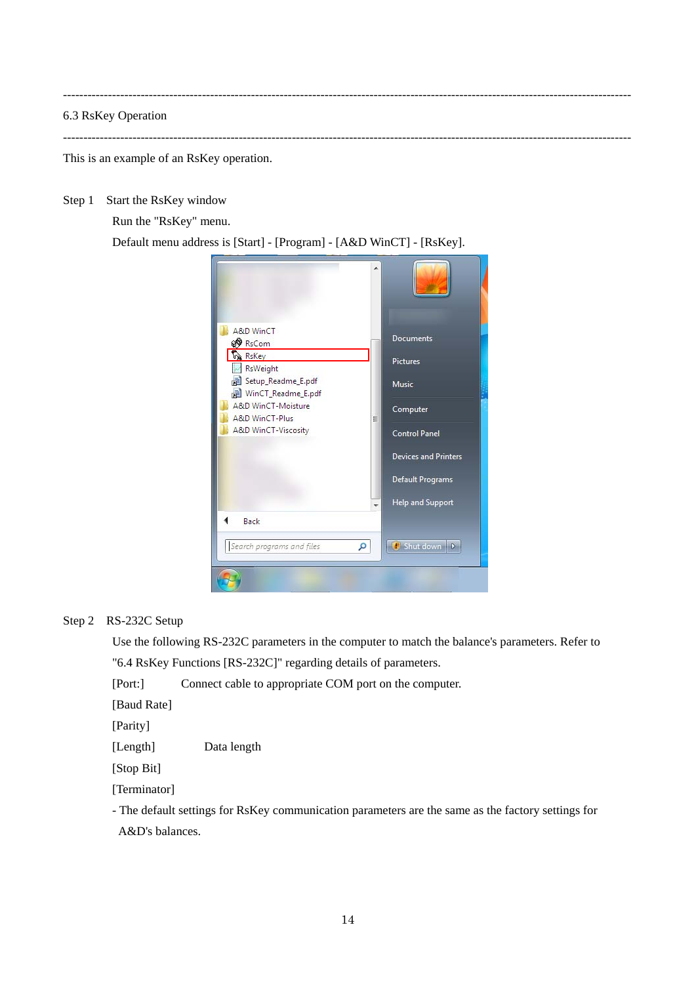------------------------------------------------------------------------------------------------------------------------------------------- 6.3 RsKey Operation -------------------------------------------------------------------------------------------------------------------------------------------

This is an example of an RsKey operation.

Step 1 Start the RsKey window

Run the "RsKey" menu.

Default menu address is [Start] - [Program] - [A&D WinCT] - [RsKey].



Step 2 RS-232C Setup

 Use the following RS-232C parameters in the computer to match the balance's parameters. Refer to "6.4 RsKey Functions [RS-232C]" regarding details of parameters.

[Port:] Connect cable to appropriate COM port on the computer.

[Baud Rate]

[Parity]

[Length] Data length

[Stop Bit]

[Terminator]

 - The default settings for RsKey communication parameters are the same as the factory settings for A&D's balances.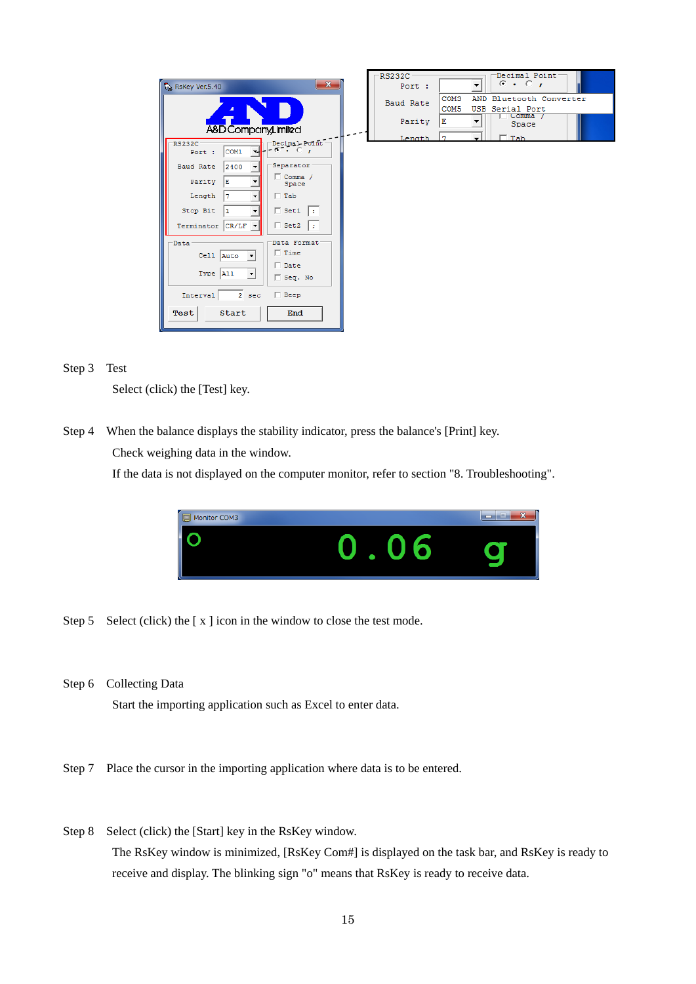|                                                                    | Decimal Point<br>RS232C                                         |
|--------------------------------------------------------------------|-----------------------------------------------------------------|
| $\mathbf{x}$<br>RsKey Ver.5.40                                     | $G \rightarrow G$<br>Port :<br>▼                                |
|                                                                    | COM <sub>3</sub><br>AND Bluetooth Converter<br>Baud Rate        |
|                                                                    | COM <sub>5</sub><br>USB Serial Port<br>Comma /                  |
|                                                                    | Parity<br>E<br>▼<br>Space                                       |
| A&D Company, Limited                                               | $\overline{\phantom{a}}$<br>$T$ Tab<br>Length<br>$\overline{7}$ |
| Decimal Point<br><b>RS232C</b><br>$-6.0.0$<br>COM1<br>Port :<br>▼. |                                                                 |
|                                                                    |                                                                 |
| Separator<br>2400<br><b>Baud Rate</b><br>$\blacktriangledown$      |                                                                 |
| $\Box$ Comma /<br>Parity<br>E<br>$\overline{\phantom{a}}$<br>Space |                                                                 |
| $\Box$ Tab<br>Length<br>7                                          |                                                                 |
| $\Box$ Set1<br>Stop Bit<br>10                                      |                                                                 |
| $\Box$ Set2<br>CR/LF<br>Terminator<br>$\mathcal{F}$                |                                                                 |
| Data Format<br><b>Data</b>                                         |                                                                 |
| $\Box$ Time<br>Cell $\vert$ Auto $\vert$ $\vert$                   |                                                                 |
| $\Box$ Date                                                        |                                                                 |
| Type  A11<br>$\overline{\phantom{a}}$<br>Seq. No                   |                                                                 |
| $\Box$ Beep<br>Interval<br>2 <sub>sec</sub>                        |                                                                 |
|                                                                    |                                                                 |
| Test<br>Start<br>End                                               |                                                                 |

## Step 3 Test

Select (click) the [Test] key.

Step 4 When the balance displays the stability indicator, press the balance's [Print] key. Check weighing data in the window.

If the data is not displayed on the computer monitor, refer to section "8. Troubleshooting".



Step 5 Select (click) the  $[x]$  icon in the window to close the test mode.

Step 6 Collecting Data

Start the importing application such as Excel to enter data.

- Step 7 Place the cursor in the importing application where data is to be entered.
- Step 8 Select (click) the [Start] key in the RsKey window. The RsKey window is minimized, [RsKey Com#] is displayed on the task bar, and RsKey is ready to receive and display. The blinking sign "o" means that RsKey is ready to receive data.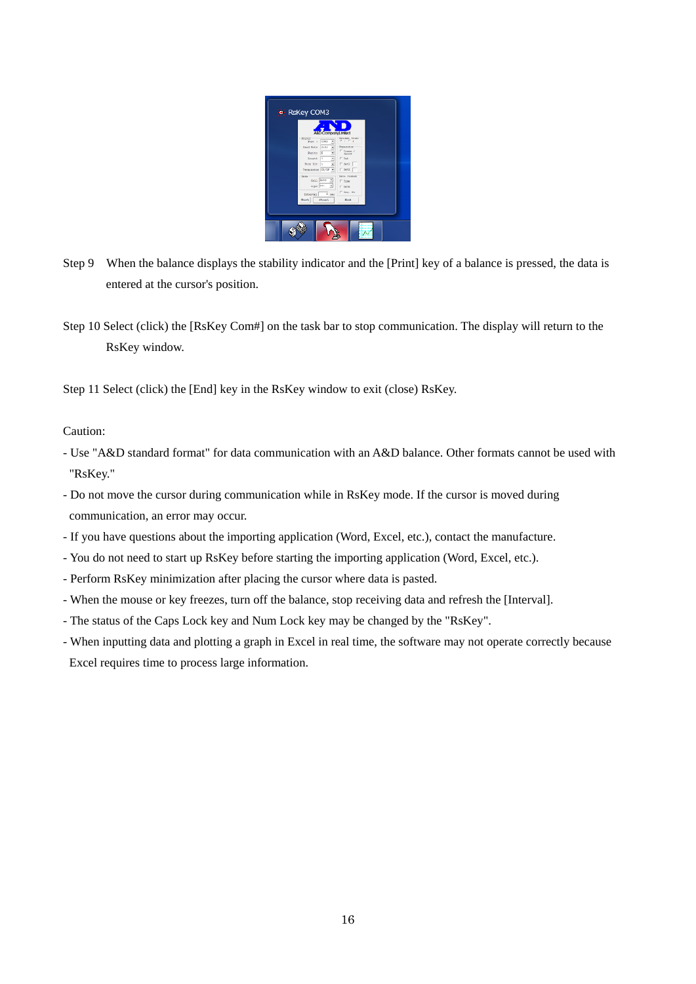

- Step 9 When the balance displays the stability indicator and the [Print] key of a balance is pressed, the data is entered at the cursor's position.
- Step 10 Select (click) the [RsKey Com#] on the task bar to stop communication. The display will return to the RsKey window.

Step 11 Select (click) the [End] key in the RsKey window to exit (close) RsKey.

Caution:

- Use "A&D standard format" for data communication with an A&D balance. Other formats cannot be used with "RsKey."
- Do not move the cursor during communication while in RsKey mode. If the cursor is moved during communication, an error may occur.
- If you have questions about the importing application (Word, Excel, etc.), contact the manufacture.
- You do not need to start up RsKey before starting the importing application (Word, Excel, etc.).
- Perform RsKey minimization after placing the cursor where data is pasted.
- When the mouse or key freezes, turn off the balance, stop receiving data and refresh the [Interval].
- The status of the Caps Lock key and Num Lock key may be changed by the "RsKey".
- When inputting data and plotting a graph in Excel in real time, the software may not operate correctly because Excel requires time to process large information.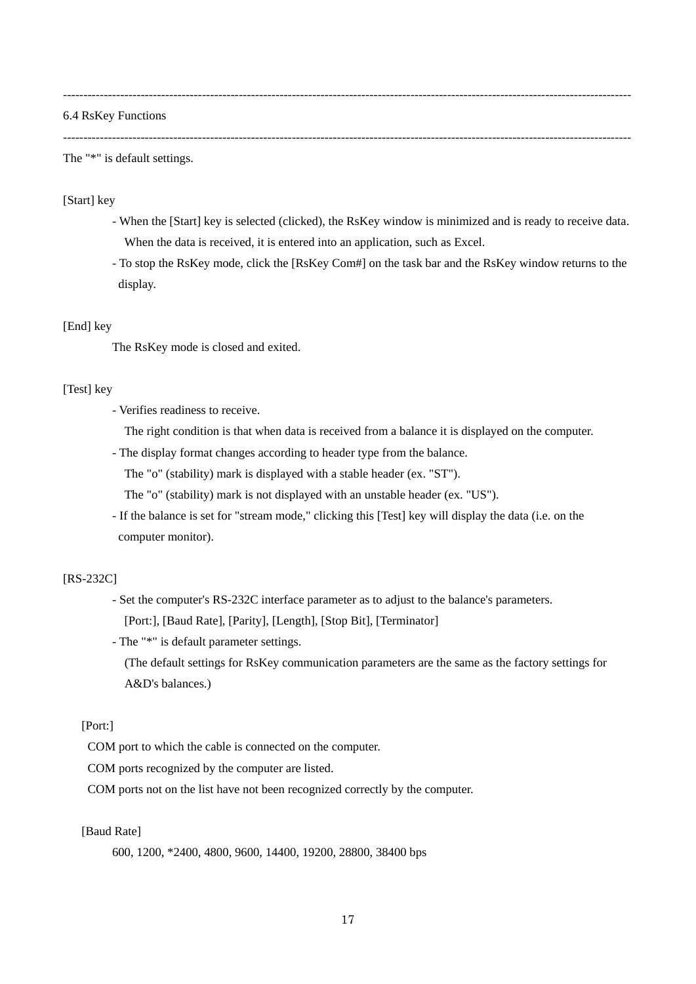-------------------------------------------------------------------------------------------------------------------------------------------

6.4 RsKey Functions

-------------------------------------------------------------------------------------------------------------------------------------------

The "\*" is default settings.

### [Start] key

- When the [Start] key is selected (clicked), the RsKey window is minimized and is ready to receive data. When the data is received, it is entered into an application, such as Excel.
- To stop the RsKey mode, click the [RsKey Com#] on the task bar and the RsKey window returns to the display.

### [End] key

The RsKey mode is closed and exited.

### [Test] key

- Verifies readiness to receive.

The right condition is that when data is received from a balance it is displayed on the computer.

- The display format changes according to header type from the balance.

The "o" (stability) mark is displayed with a stable header (ex. "ST").

The "o" (stability) mark is not displayed with an unstable header (ex. "US").

 - If the balance is set for "stream mode," clicking this [Test] key will display the data (i.e. on the computer monitor).

### [RS-232C]

 - Set the computer's RS-232C interface parameter as to adjust to the balance's parameters. [Port:], [Baud Rate], [Parity], [Length], [Stop Bit], [Terminator]

- The "\*" is default parameter settings.

 (The default settings for RsKey communication parameters are the same as the factory settings for A&D's balances.)

### [Port:]

COM port to which the cable is connected on the computer.

COM ports recognized by the computer are listed.

COM ports not on the list have not been recognized correctly by the computer.

### [Baud Rate]

600, 1200, \*2400, 4800, 9600, 14400, 19200, 28800, 38400 bps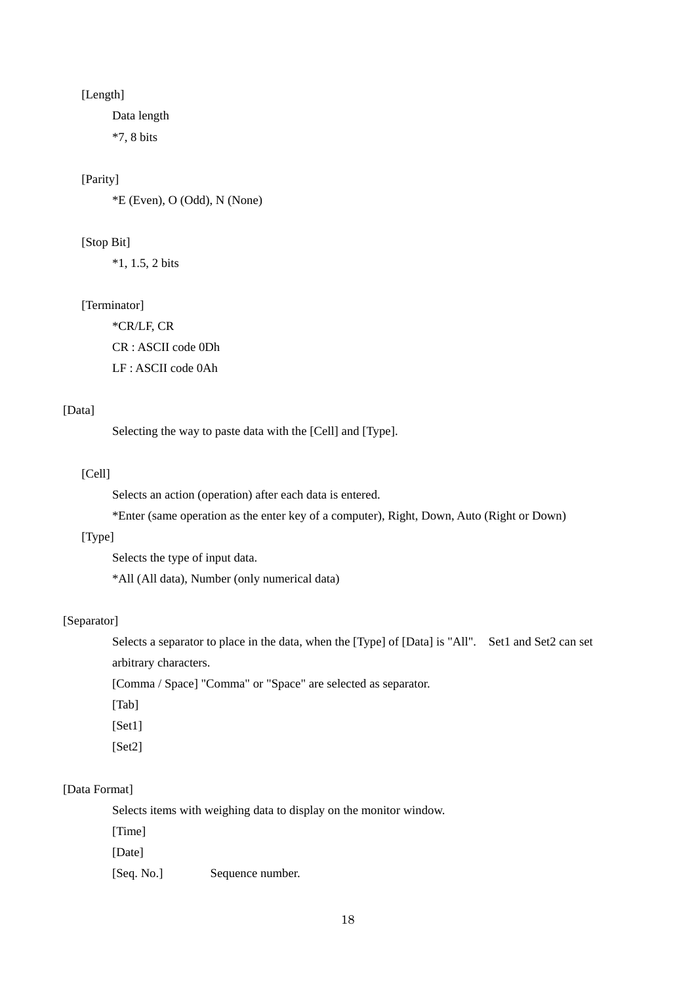## [Length]

Data length

\*7, 8 bits

## [Parity]

\*E (Even), O (Odd), N (None)

### [Stop Bit]

\*1, 1.5, 2 bits

### [Terminator]

 \*CR/LF, CR CR : ASCII code 0Dh LF : ASCII code 0Ah

## [Data]

Selecting the way to paste data with the [Cell] and [Type].

## [Cell]

Selects an action (operation) after each data is entered.

\*Enter (same operation as the enter key of a computer), Right, Down, Auto (Right or Down)

### [Type]

Selects the type of input data.

\*All (All data), Number (only numerical data)

## [Separator]

Selects a separator to place in the data, when the [Type] of [Data] is "All". Set1 and Set2 can set arbitrary characters.

[Comma / Space] "Comma" or "Space" are selected as separator.

[Tab]

[Set1]

[Set2]

## [Data Format]

Selects items with weighing data to display on the monitor window.

[Time]

[Date]

[Seq. No.] Sequence number.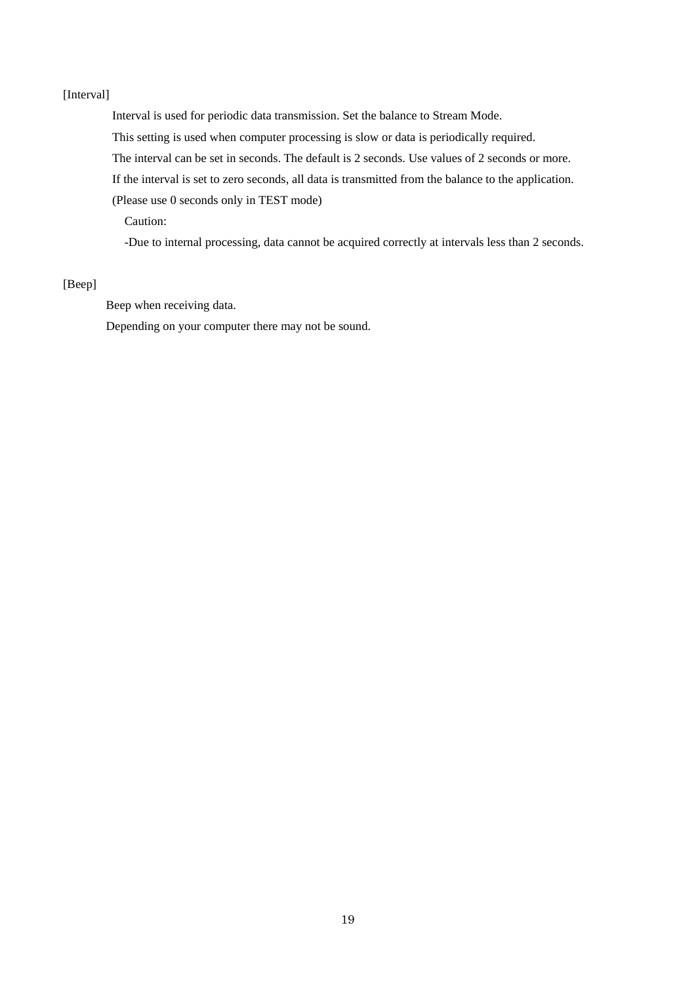### [Interval]

Interval is used for periodic data transmission. Set the balance to Stream Mode.

This setting is used when computer processing is slow or data is periodically required.

The interval can be set in seconds. The default is 2 seconds. Use values of 2 seconds or more.

If the interval is set to zero seconds, all data is transmitted from the balance to the application.

(Please use 0 seconds only in TEST mode)

Caution:

-Due to internal processing, data cannot be acquired correctly at intervals less than 2 seconds.

### [Beep]

Beep when receiving data.

Depending on your computer there may not be sound.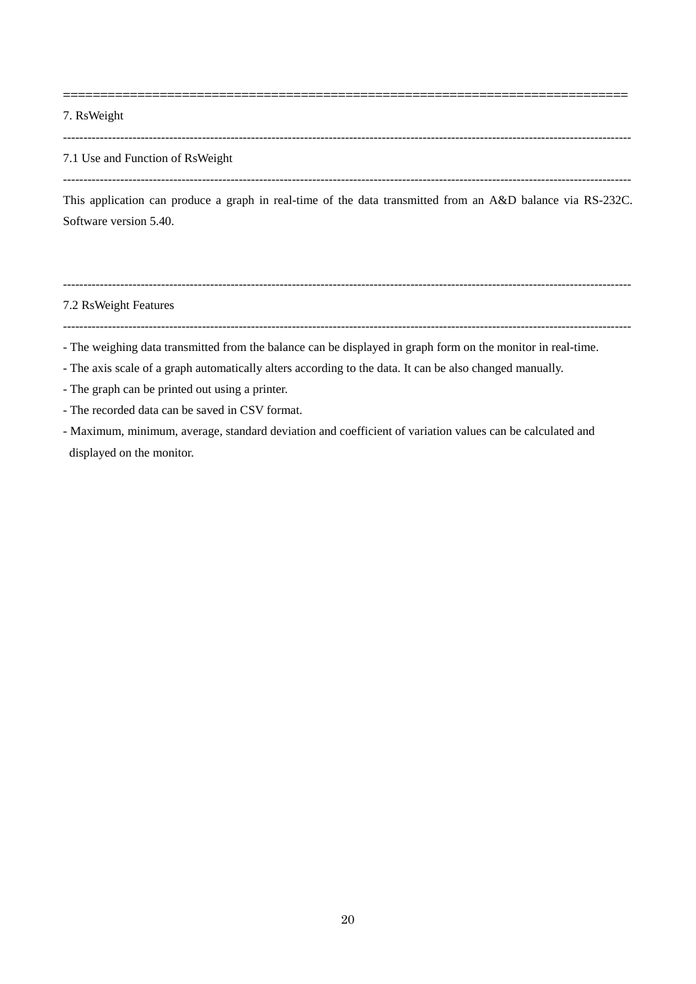7. RsWeight

-------------------------------------------------------------------------------------------------------------------------------------------

============================================================================

## 7.1 Use and Function of RsWeight

This application can produce a graph in real-time of the data transmitted from an A&D balance via RS-232C. Software version 5.40.

7.2 RsWeight Features

-------------------------------------------------------------------------------------------------------------------------------------------

-------------------------------------------------------------------------------------------------------------------------------------------

- The weighing data transmitted from the balance can be displayed in graph form on the monitor in real-time.
- The axis scale of a graph automatically alters according to the data. It can be also changed manually.

-------------------------------------------------------------------------------------------------------------------------------------------

- The graph can be printed out using a printer.
- The recorded data can be saved in CSV format.
- Maximum, minimum, average, standard deviation and coefficient of variation values can be calculated and displayed on the monitor.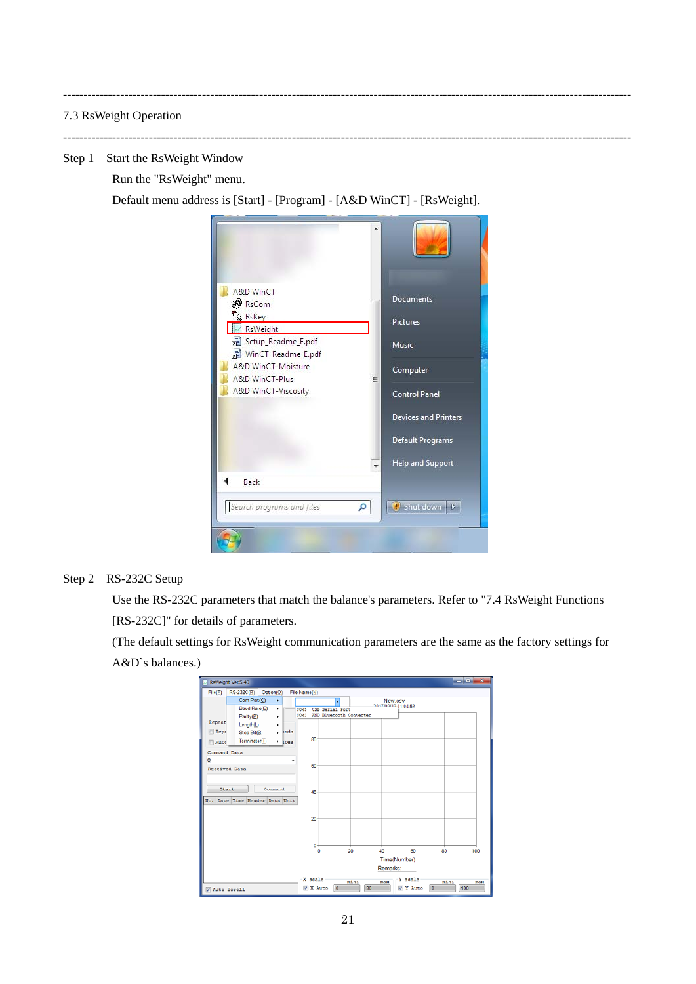## 7.3 RsWeight Operation

## Step 1 Start the RsWeight Window

Run the "RsWeight" menu.

Default menu address is [Start] - [Program] - [A&D WinCT] - [RsWeight].



-------------------------------------------------------------------------------------------------------------------------------------------

-------------------------------------------------------------------------------------------------------------------------------------------

## Step 2 RS-232C Setup

 Use the RS-232C parameters that match the balance's parameters. Refer to "7.4 RsWeight Functions [RS-232C]" for details of parameters.

 (The default settings for RsWeight communication parameters are the same as the factory settings for A&D`s balances.)

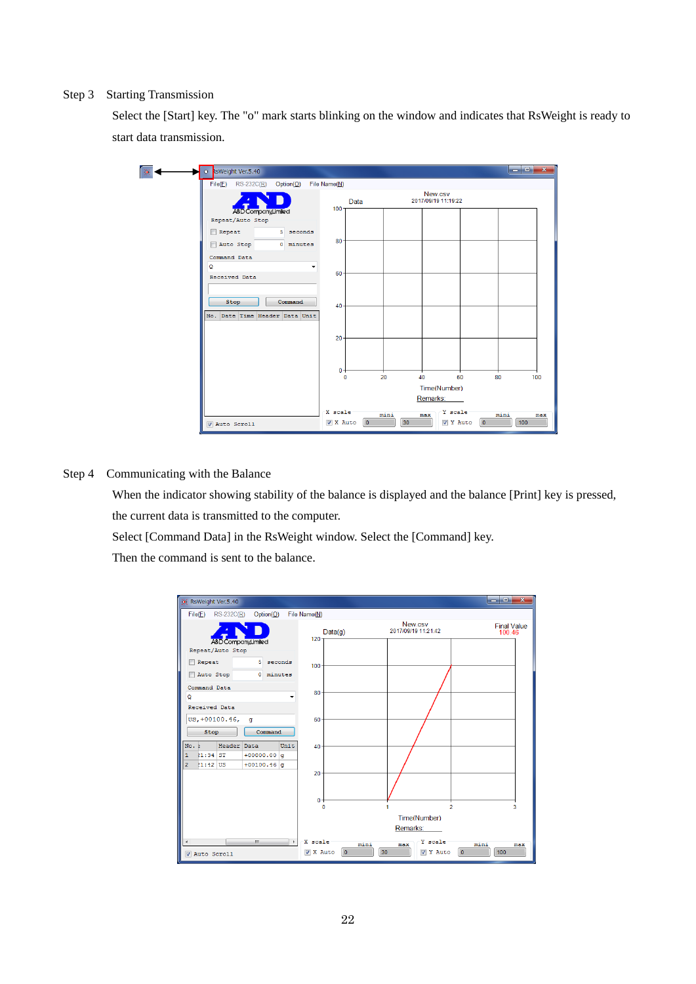### Step 3 Starting Transmission

 Select the [Start] key. The "o" mark starts blinking on the window and indicates that RsWeight is ready to start data transmission.



Step 4 Communicating with the Balance

 When the indicator showing stability of the balance is displayed and the balance [Print] key is pressed, the current data is transmitted to the computer.

Select [Command Data] in the RsWeight window. Select the [Command] key.

Then the command is sent to the balance.

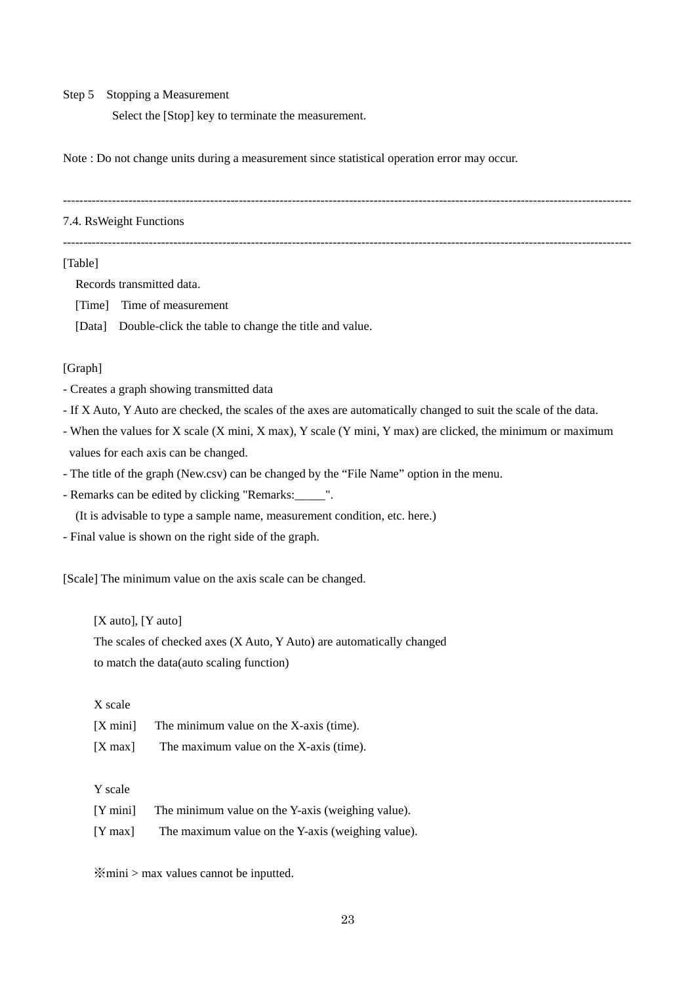### Step 5 Stopping a Measurement

Select the [Stop] key to terminate the measurement.

Note : Do not change units during a measurement since statistical operation error may occur.

### 7.4. RsWeight Functions

-------------------------------------------------------------------------------------------------------------------------------------------

-------------------------------------------------------------------------------------------------------------------------------------------

### [Table]

Records transmitted data.

[Time] Time of measurement

[Data] Double-click the table to change the title and value.

### [Graph]

- Creates a graph showing transmitted data

- If X Auto, Y Auto are checked, the scales of the axes are automatically changed to suit the scale of the data.

- When the values for X scale (X mini, X max), Y scale (Y mini, Y max) are clicked, the minimum or maximum values for each axis can be changed.

- The title of the graph (New.csv) can be changed by the "File Name" option in the menu.
- Remarks can be edited by clicking "Remarks:\_\_\_\_\_".

(It is advisable to type a sample name, measurement condition, etc. here.)

- Final value is shown on the right side of the graph.

[Scale] The minimum value on the axis scale can be changed.

[X auto], [Y auto]

 The scales of checked axes (X Auto, Y Auto) are automatically changed to match the data(auto scaling function)

### X scale

| $[X \text{ mini}]$ | The minimum value on the X-axis (time). |
|--------------------|-----------------------------------------|
| $[X \max]$         | The maximum value on the X-axis (time). |

## Y scale

| [Y mini] | The minimum value on the Y-axis (weighing value). |
|----------|---------------------------------------------------|
| [Y max]  | The maximum value on the Y-axis (weighing value). |

 $\frac{1}{2}$  mini > max values cannot be inputted.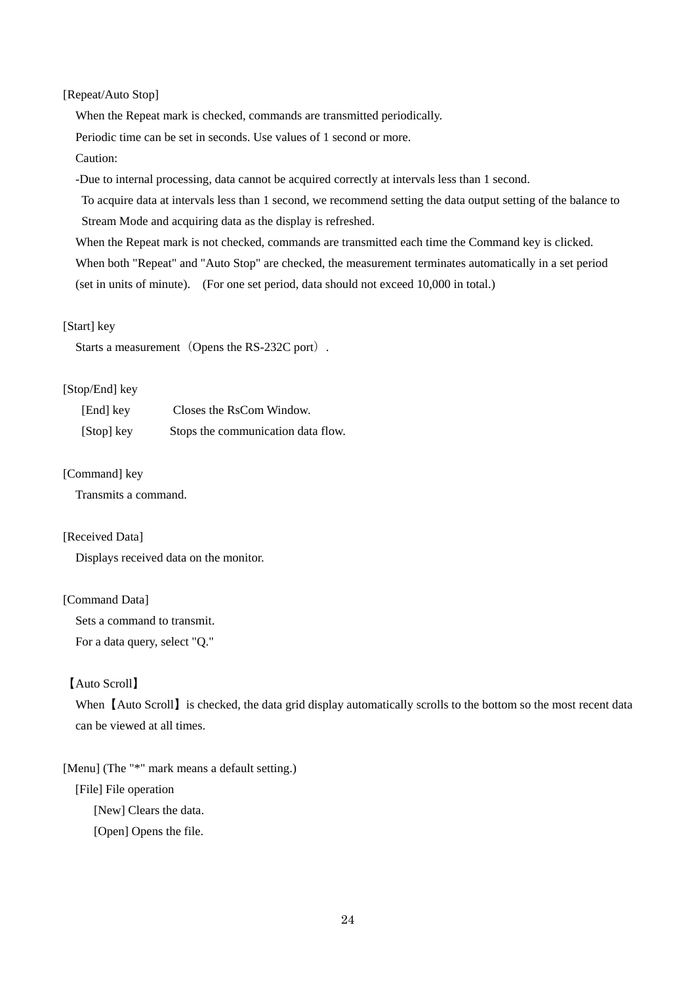### [Repeat/Auto Stop]

When the Repeat mark is checked, commands are transmitted periodically.

Periodic time can be set in seconds. Use values of 1 second or more.

### Caution:

-Due to internal processing, data cannot be acquired correctly at intervals less than 1 second.

 To acquire data at intervals less than 1 second, we recommend setting the data output setting of the balance to Stream Mode and acquiring data as the display is refreshed.

 When the Repeat mark is not checked, commands are transmitted each time the Command key is clicked. When both "Repeat" and "Auto Stop" are checked, the measurement terminates automatically in a set period (set in units of minute). (For one set period, data should not exceed 10,000 in total.)

#### [Start] key

Starts a measurement (Opens the RS-232C port).

### [Stop/End] key

| [End] key  | Closes the RsCom Window.           |
|------------|------------------------------------|
| [Stop] key | Stops the communication data flow. |

### [Command] key

Transmits a command.

### [Received Data]

Displays received data on the monitor.

### [Command Data]

Sets a command to transmit.

For a data query, select "Q."

### 【Auto Scroll】

When [Auto Scroll] is checked, the data grid display automatically scrolls to the bottom so the most recent data can be viewed at all times.

[Menu] (The "\*" mark means a default setting.)

[File] File operation

[New] Clears the data.

[Open] Opens the file.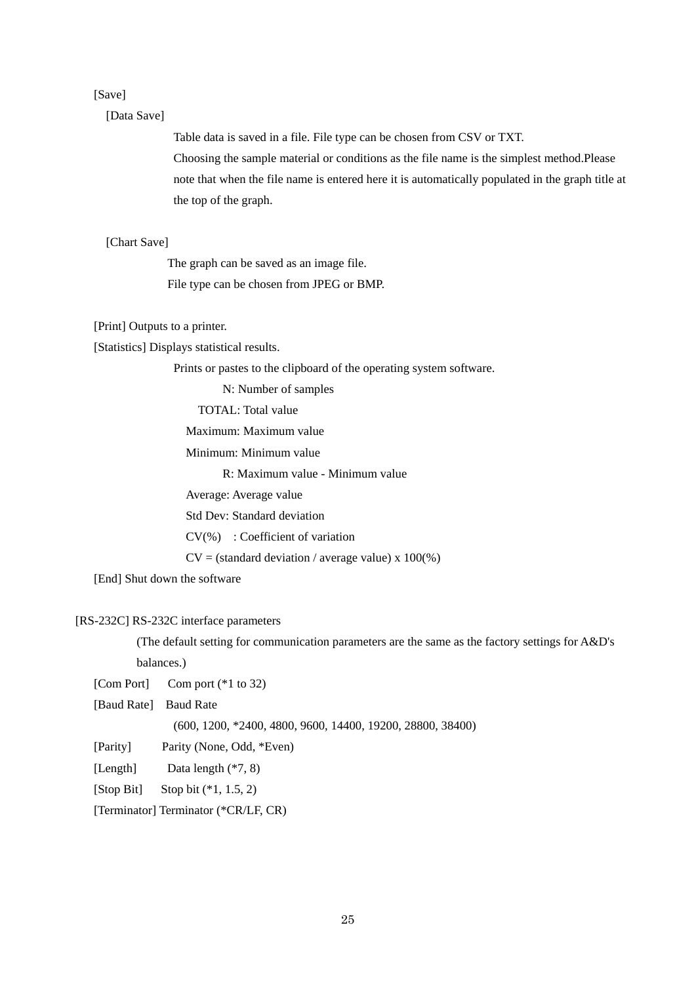## [Save]

#### [Data Save]

 Table data is saved in a file. File type can be chosen from CSV or TXT. Choosing the sample material or conditions as the file name is the simplest method.Please note that when the file name is entered here it is automatically populated in the graph title at the top of the graph.

### [Chart Save]

 The graph can be saved as an image file. File type can be chosen from JPEG or BMP.

[Print] Outputs to a printer.

[Statistics] Displays statistical results.

Prints or pastes to the clipboard of the operating system software.

N: Number of samples

TOTAL: Total value

Maximum: Maximum value

Minimum: Minimum value

R: Maximum value - Minimum value

Average: Average value

Std Dev: Standard deviation

CV(%) : Coefficient of variation

 $CV = (standard deviation / average value) \times 100\%$ 

[End] Shut down the software

## [RS-232C] RS-232C interface parameters

 (The default setting for communication parameters are the same as the factory settings for A&D's balances.)

[Com Port] Com port (\*1 to 32)

```
 [Baud Rate] Baud Rate
```
(600, 1200, \*2400, 4800, 9600, 14400, 19200, 28800, 38400)

[Parity] Parity (None, Odd, \*Even)

[Length] Data length (\*7, 8)

[Stop Bit] Stop bit (\*1, 1.5, 2)

[Terminator] Terminator (\*CR/LF, CR)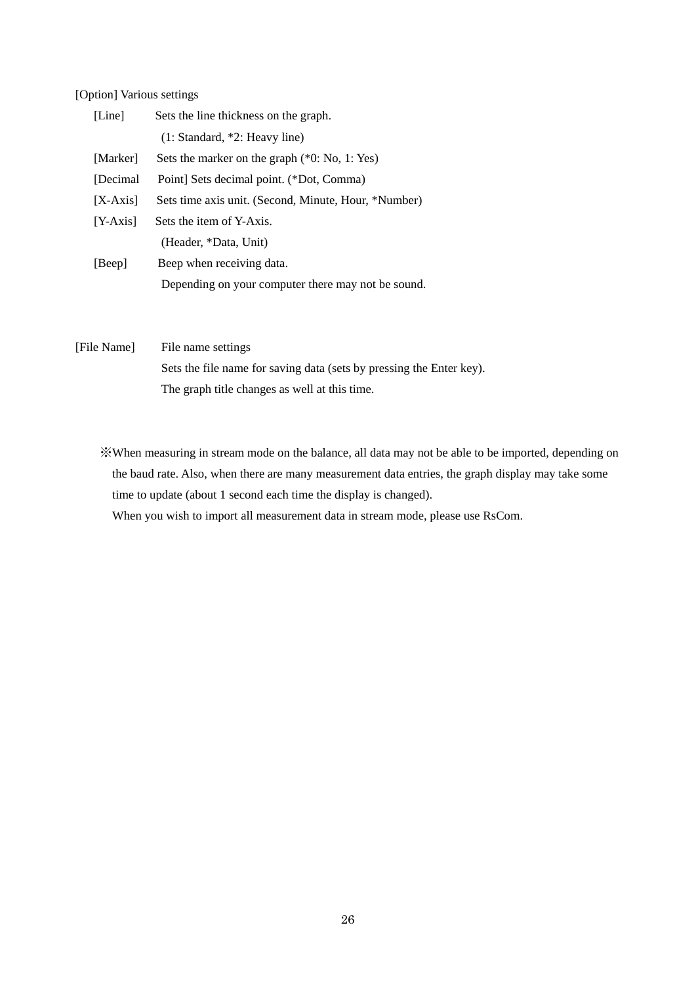### [Option] Various settings

| [Line]     | Sets the line thickness on the graph.                |  |  |
|------------|------------------------------------------------------|--|--|
|            | $(1: Standard, *2: Heavy line)$                      |  |  |
| [Marker]   | Sets the marker on the graph $(*0: No, 1: Yes)$      |  |  |
| [Decimal]  | Point Sets decimal point. (*Dot, Comma)              |  |  |
| $[X-Axis]$ | Sets time axis unit. (Second, Minute, Hour, *Number) |  |  |
| $[Y-Axis]$ | Sets the item of Y-Axis.                             |  |  |
|            | (Header, *Data, Unit)                                |  |  |
| [Beep]     | Beep when receiving data.                            |  |  |
|            | Depending on your computer there may not be sound.   |  |  |
|            |                                                      |  |  |

# [File Name] File name settings Sets the file name for saving data (sets by pressing the Enter key). The graph title changes as well at this time.

 ※When measuring in stream mode on the balance, all data may not be able to be imported, depending on the baud rate. Also, when there are many measurement data entries, the graph display may take some time to update (about 1 second each time the display is changed).

When you wish to import all measurement data in stream mode, please use RsCom.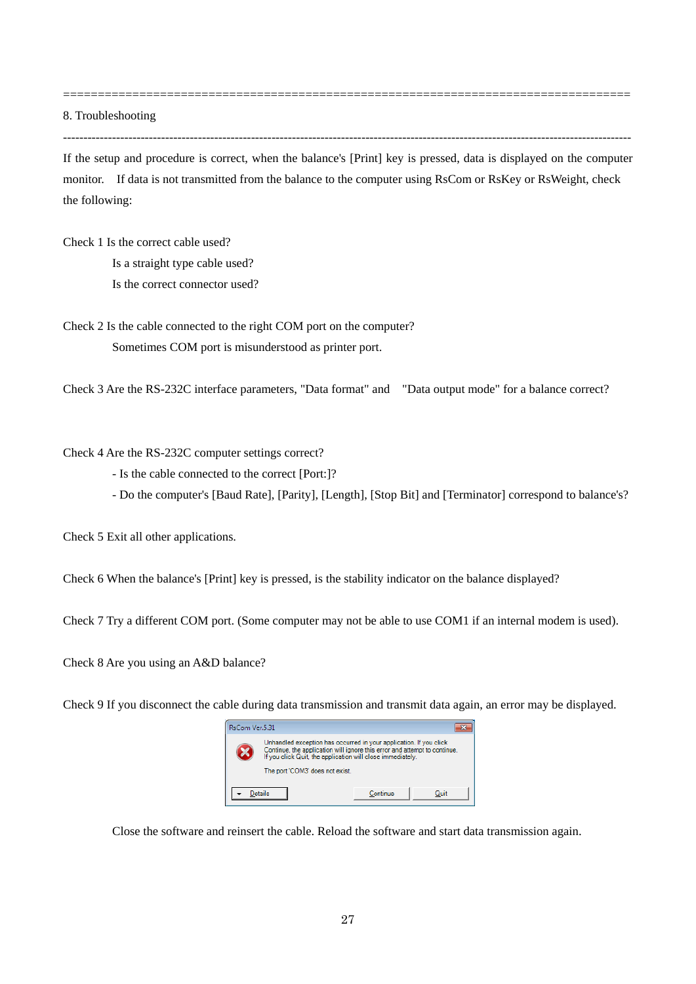8. Troubleshooting

-------------------------------------------------------------------------------------------------------------------------------------------

==================================================================================

If the setup and procedure is correct, when the balance's [Print] key is pressed, data is displayed on the computer monitor. If data is not transmitted from the balance to the computer using RsCom or RsKey or RsWeight, check the following:

Check 1 Is the correct cable used? Is a straight type cable used? Is the correct connector used?

Check 2 Is the cable connected to the right COM port on the computer? Sometimes COM port is misunderstood as printer port.

Check 3 Are the RS-232C interface parameters, "Data format" and "Data output mode" for a balance correct?

### Check 4 Are the RS-232C computer settings correct?

- Is the cable connected to the correct [Port:]?
- Do the computer's [Baud Rate], [Parity], [Length], [Stop Bit] and [Terminator] correspond to balance's?

Check 5 Exit all other applications.

Check 6 When the balance's [Print] key is pressed, is the stability indicator on the balance displayed?

Check 7 Try a different COM port. (Some computer may not be able to use COM1 if an internal modem is used).

Check 8 Are you using an A&D balance?

Check 9 If you disconnect the cable during data transmission and transmit data again, an error may be displayed.



Close the software and reinsert the cable. Reload the software and start data transmission again.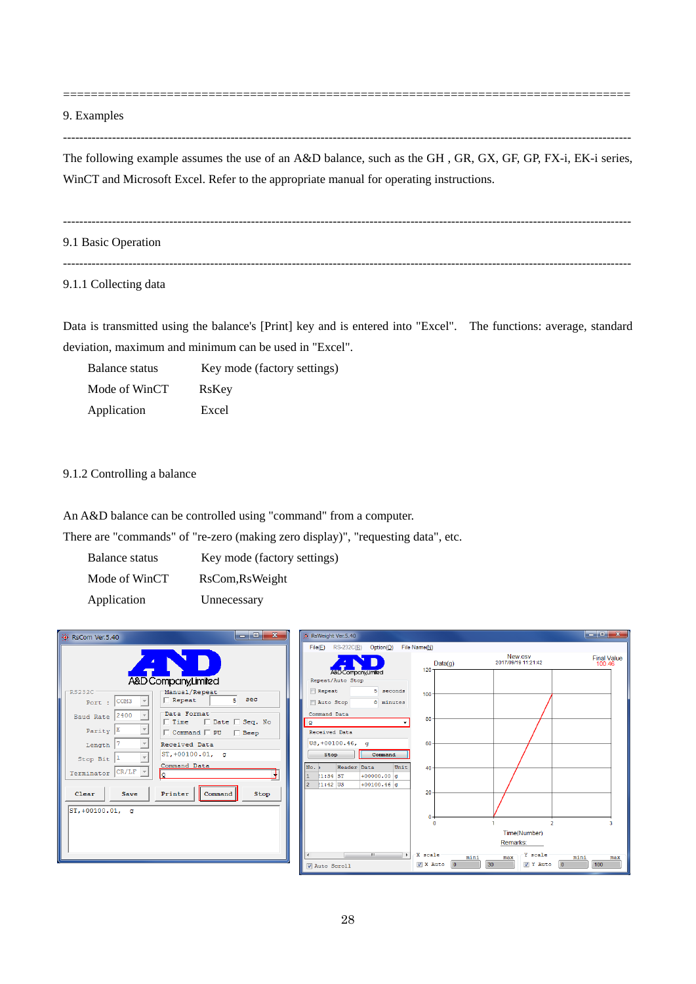9. Examples

-------------------------------------------------------------------------------------------------------------------------------------------

==================================================================================

The following example assumes the use of an A&D balance, such as the GH , GR, GX, GF, GP, FX-i, EK-i series, WinCT and Microsoft Excel. Refer to the appropriate manual for operating instructions.

------------------------------------------------------------------------------------------------------------------------------------------- 9.1 Basic Operation -------------------------------------------------------------------------------------------------------------------------------------------

9.1.1 Collecting data

Data is transmitted using the balance's [Print] key and is entered into "Excel". The functions: average, standard deviation, maximum and minimum can be used in "Excel".

Balance status Key mode (factory settings) Mode of WinCT RsKey Application Excel

## 9.1.2 Controlling a balance

An A&D balance can be controlled using "command" from a computer.

There are "commands" of "re-zero (making zero display)", "requesting data", etc.

Balance status Key mode (factory settings) Mode of WinCT RsCom, RsWeight Application Unnecessary

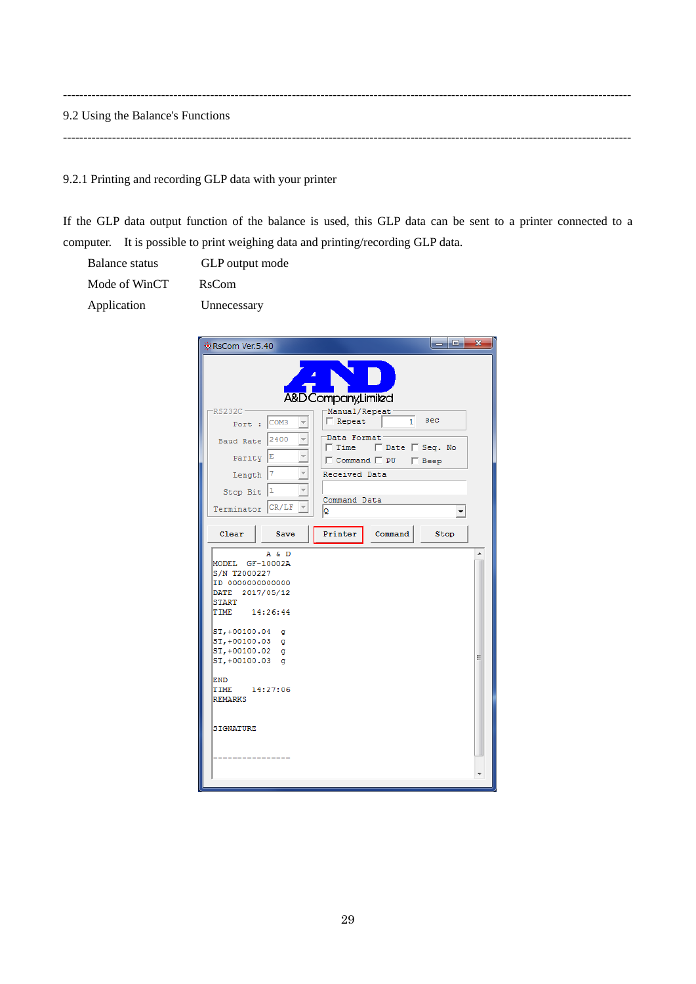| 9.2 Using the Balance's Functions |  |
|-----------------------------------|--|
|                                   |  |
|                                   |  |

9.2.1 Printing and recording GLP data with your printer

If the GLP data output function of the balance is used, this GLP data can be sent to a printer connected to a computer. It is possible to print weighing data and printing/recording GLP data.

 Balance status GLP output mode Mode of WinCT RsCom Application Unnecessary

| K RsCom Ver.5.40                                                                                                                                                                                                                                      | وارد<br>$\mathbf{x}$                                               |  |
|-------------------------------------------------------------------------------------------------------------------------------------------------------------------------------------------------------------------------------------------------------|--------------------------------------------------------------------|--|
| A&D Company,Limited                                                                                                                                                                                                                                   |                                                                    |  |
| RS232C<br>Port : COM3                                                                                                                                                                                                                                 | Manual/Repeat<br>$\Box$ Repeat<br>sec<br>$\mathbf{1}$              |  |
| Baud Rate 2400                                                                                                                                                                                                                                        | Data Format:                                                       |  |
| Parity E                                                                                                                                                                                                                                              | □ Time □ Date □ Seq. No<br>$\Box$ Command $\Box$ PU<br>$\Box$ Beep |  |
| 7<br>Length                                                                                                                                                                                                                                           | Received Data                                                      |  |
| 1<br>Stop Bit                                                                                                                                                                                                                                         |                                                                    |  |
| Terminator CR/LF                                                                                                                                                                                                                                      | Command Data<br>Ω                                                  |  |
| Clear<br>Save                                                                                                                                                                                                                                         | Printer<br>Command<br>Stop                                         |  |
| A & D<br>MODEL GF-10002A                                                                                                                                                                                                                              | ▲                                                                  |  |
| S/N T2000227<br>ID 0000000000000<br>DATE 2017/05/12<br><b>START</b><br>14:26:44<br>TIME<br>ST, +00100.04<br><b>a</b><br>ST, +00100.03 g<br>ST, +00100.02 g<br>ST, +00100.03<br><b>q</b><br>END<br>TIME 14:27:06<br><b>REMARKS</b><br><b>SIGNATURE</b> | Ξ                                                                  |  |
|                                                                                                                                                                                                                                                       |                                                                    |  |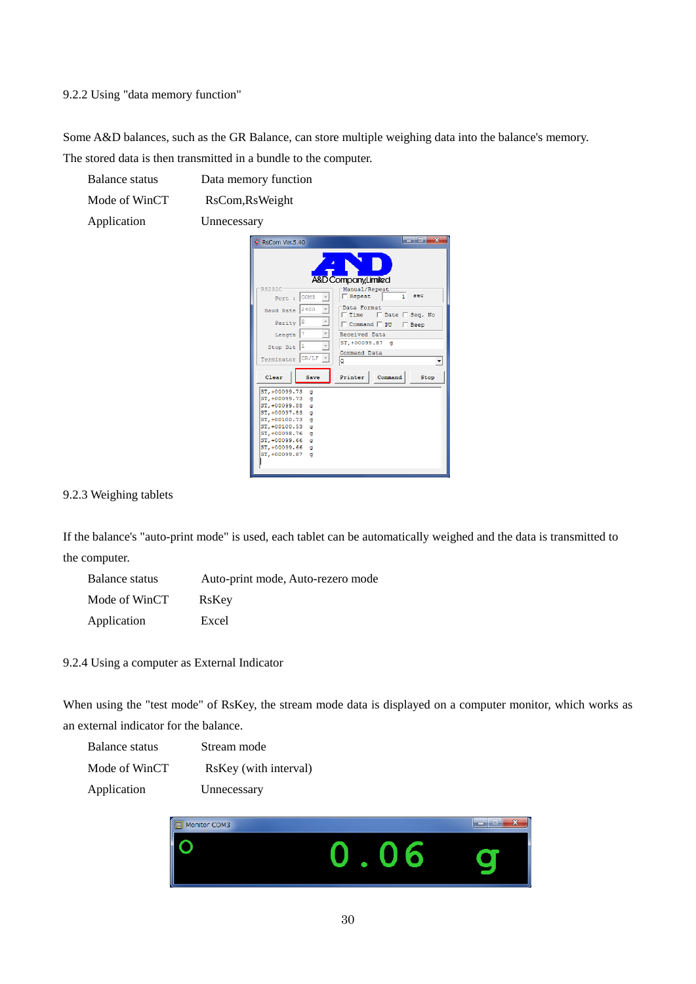### 9.2.2 Using "data memory function"

Some A&D balances, such as the GR Balance, can store multiple weighing data into the balance's memory. The stored data is then transmitted in a bundle to the computer.

- Mode of WinCT RsCom, RsWeight
- Application Unnecessary



### 9.2.3 Weighing tablets

If the balance's "auto-print mode" is used, each tablet can be automatically weighed and the data is transmitted to the computer.

| Balance status | Auto-print mode, Auto-rezero mode |
|----------------|-----------------------------------|
| Mode of WinCT  | RsKey                             |
| Application    | Excel                             |

9.2.4 Using a computer as External Indicator

When using the "test mode" of RsKey, the stream mode data is displayed on a computer monitor, which works as an external indicator for the balance.

| Balance status | Stream mode           |
|----------------|-----------------------|
| Mode of WinCT  | RsKey (with interval) |
| Application    | Unnecessary           |